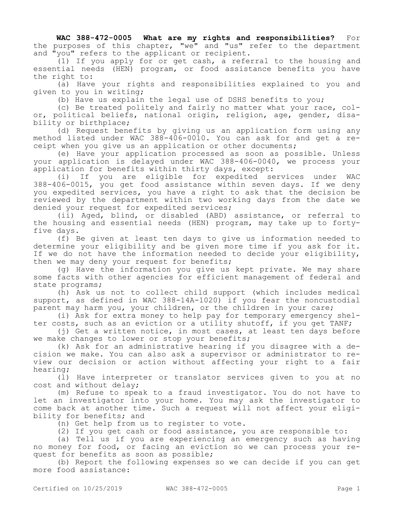**WAC 388-472-0005 What are my rights and responsibilities?** For the purposes of this chapter, "we" and "us" refer to the department and "you" refers to the applicant or recipient.

(1) If you apply for or get cash, a referral to the housing and essential needs (HEN) program, or food assistance benefits you have the right to:

(a) Have your rights and responsibilities explained to you and given to you in writing;

(b) Have us explain the legal use of DSHS benefits to you;

(c) Be treated politely and fairly no matter what your race, color, political beliefs, national origin, religion, age, gender, disability or birthplace;

(d) Request benefits by giving us an application form using any method listed under WAC 388-406-0010. You can ask for and get a receipt when you give us an application or other documents;

(e) Have your application processed as soon as possible. Unless your application is delayed under WAC 388-406-0040, we process your application for benefits within thirty days, except:

(i) If you are eligible for expedited services under WAC 388-406-0015, you get food assistance within seven days. If we deny you expedited services, you have a right to ask that the decision be reviewed by the department within two working days from the date we denied your request for expedited services;

(ii) Aged, blind, or disabled (ABD) assistance, or referral to the housing and essential needs (HEN) program, may take up to fortyfive days.

(f) Be given at least ten days to give us information needed to determine your eligibility and be given more time if you ask for it. If we do not have the information needed to decide your eligibility, then we may deny your request for benefits;

(g) Have the information you give us kept private. We may share some facts with other agencies for efficient management of federal and state programs;

(h) Ask us not to collect child support (which includes medical support, as defined in WAC 388-14A-1020) if you fear the noncustodial parent may harm you, your children, or the children in your care;

(i) Ask for extra money to help pay for temporary emergency shelter costs, such as an eviction or a utility shutoff, if you get TANF;

(j) Get a written notice, in most cases, at least ten days before we make changes to lower or stop your benefits;

(k) Ask for an administrative hearing if you disagree with a decision we make. You can also ask a supervisor or administrator to review our decision or action without affecting your right to a fair hearing;

(l) Have interpreter or translator services given to you at no cost and without delay;

(m) Refuse to speak to a fraud investigator. You do not have to let an investigator into your home. You may ask the investigator to come back at another time. Such a request will not affect your eligibility for benefits; and

(n) Get help from us to register to vote.

(2) If you get cash or food assistance, you are responsible to:

(a) Tell us if you are experiencing an emergency such as having no money for food, or facing an eviction so we can process your request for benefits as soon as possible;

(b) Report the following expenses so we can decide if you can get more food assistance: